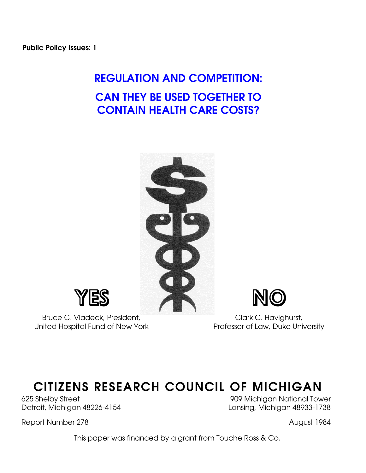# **REGULATION AND COMPETITION: CAN THEY BE USED TOGETHER TO CONTAIN HEALTH CARE COSTS?**





Bruce C. Vladeck, President, E. Bruce C. Vladeck, President, C. Havighurst, C. Havighurst, C. Havighurst, C. Havighurst, C. Havighurst, C. Havighurst, C. Havighurst, C. Havighurst, C. Havighurst, C. Havighurst, C. Havighur United Hospital Fund of New York

# **CITIZENS RESEARCH COUNCIL OF MICHIGAN**

Report Number 278 August 1984

625 Shelby Street 909 Michigan National Tower Detroit, Michigan 48226-4154 Lansing, Michigan 48933-1738

This paper was financed by a grant from Touche Ross & Co.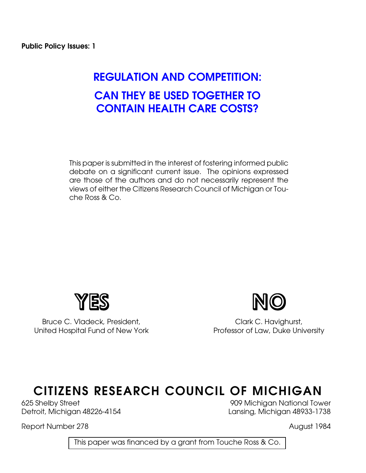# **REGULATION AND COMPETITION: CAN THEY BE USED TOGETHER TO CONTAIN HEALTH CARE COSTS?**

This paper is submitted in the interest of fostering informed public debate on a significant current issue. The opinions expressed are those of the authors and do not necessarily represent the views of either the Citizens Research Council of Michigan or Touche Ross & Co.



Bruce C. Vladeck, President, C. Clark C. Havighurst, United Hospital Fund of New York Professor of Law, Duke University



# **CITIZENS RESEARCH COUNCIL OF MICHIGAN**

Report Number 278 August 1984

625 Shelby Street 909 Michigan National Tower Detroit, Michigan 48226-4154 Lansing, Michigan 48933-1738

This paper was financed by a grant from Touche Ross & Co.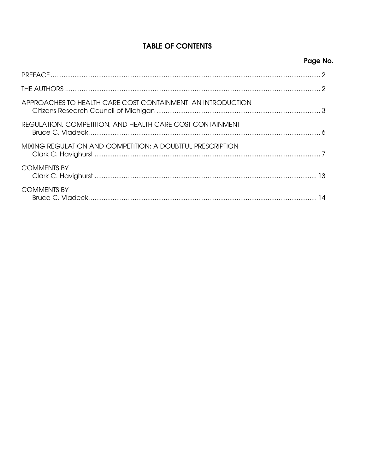# **TABLE OF CONTENTS**

| Page No. |
|----------|
|----------|

| APPROACHES TO HEALTH CARE COST CONTAINMENT: AN INTRODUCTION |  |
|-------------------------------------------------------------|--|
| REGULATION, COMPETITION, AND HEALTH CARE COST CONTAINMENT   |  |
| MIXING REGULATION AND COMPETITION: A DOUBTFUL PRESCRIPTION  |  |
| <b>COMMENTS BY</b>                                          |  |
| <b>COMMENTS BY</b>                                          |  |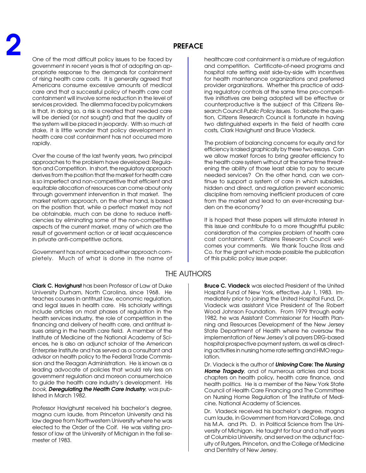One of the most difficult policy issues to be faced by government in recent years is that of adopting an appropriate response to the demands for containment of rising health care costs. It is generally agreed that Americans consume excessive amounts of medical care and that a successful policy of health care cost containment will involve some reduction in the level of services provided. The dilemma faced by policymakers is that, in doing so, a risk is created that needed care will be denied (or not sought) and that the quality of the system will be placed in jeopardy. With so much at stake, it is little wonder that policy development in health care cost containment has not occurred more rapidly.

Over the course of the last twenty years, two principal approaches to the problem have developed: Regulation and Competition. In short, the regulatory approach derives from the position that the market for health care is so imperfect and non-competitive that efficient and equitable allocation of resources can come about only through government intervention in that market. The market reform approach, on the other hand, is based on the position that, while a perfect market may not be obtainable, much can be done to reduce inefficiencies by eliminating some of the non-competitive aspects of the current market, many of which are the result of government action or at least acquiescence in private anti-competitive actions.

Government has not embraced either approach completely. Much of what is done in the name of

**Clark C. Havighurst** has been Professor of Law at Duke University Durham, North Carolina, since 1968. He teaches courses in antitrust law, economic regulation, and legal issues in health care. His scholarly writings include articles on most phases of regulation in the health services industry, the role of competition in the financing and delivery of health care, and antitrust issues arising in the health care field. A member of the Institute of Medicine of the National Academy of Sciences, he is also an adjunct scholar of the American Enterprise Institute and has served as a consultant and advisor on health policy to the Federal Trade Commission and the Reagan Administration. He is known as a leading advocate of policies that would rely less on government regulation and moreon consumerchoice to guide the health care industry's development. His book, **Deregulating the Health Care Industry**, was published in March 1982.

Professor Havighurst received his bachelor's degree, magna cum laude, from Princeton University and his law degree from Northwestern University where he was elected to the Order of the Coif. He was visiting professor of law at the University of Michigan in the fall semester of 1983.

healthcare cost containment is a mixture of regulation and competition. Certificate-of-need programs and hospital rate setting exist side-by-side with incentives for health maintenance organizations and preferred provider organizations. Whether this practice of adding regulatory controls at the same time pro-competitive initiatives are being adopted will be effective or counterproductive is the subject of this Citizens Research Council Public Policy Issues. To debate the question, Citizens Research Council is fortunate in having two distinguished experts in the field of health care costs, Clark Havighurst and Bruce Vladeck.

The problem of balancing concerns for equity and for efficiency is raised graphically by these two essays. Can we allow market forces to bring greater efficiency to the health care system without at the same time threatening the ability of those least able to pay to secure needed services? On the other hand, can we continue to support a system of care in which subsidies, hidden and direct, and regulation prevent economic discipline from removing inefficient producers of care from the market and lead to an ever-increasing burden on the economy?

It is hoped that these papers will stimulate interest in this issue and contribute to a more thoughtful public consideration of the complex problem of health care cost containment. Citizens Research Council welcomes your comments. We thank Touche Ross and Co. for the grant which made possible the publication of this public policy issue paper.

# THE AUTHORS

**Bruce C. Viadeck** was elected President of the United Hospital Fund of New York, effective July 1, 1983. Immediately prior to joining the United Hospital Fund, Dr. Viadeck was assistant Vice President of The Robert Wood Johnson Foundation. From 1979 through early 1982, he was Assistant Commissioner for Health Planning and Resources Development of the New Jersey State Department of Health where he oversaw the implementation of New Jersey's all payers DRG-based hospital prospective payment system, as well as directing activities in nursing home rate setting and HMO regulation.

Dr. Viadeck is the author of **Unloving Care: The Nursing Home Tragedy**, and of numerous articles and book chapters on health policy, health care finance, and health politics. He is a member of the New York State Council of Health Care Financing and The Committee on Nursing Home Regulation of The Institute of Medicine, National Academy of Sciences.

Dr. Vladeck received his bachelor's degree, magna cum laude, in Government from Harvard College, and his M.A. and Ph. D. in Political Science from The University of Michigan. He taught for four and a half years at Columbia University, and served on the adjunct faculty of Rutgers, Princeton, and the College of Medicine and Dentistry of New Jersey.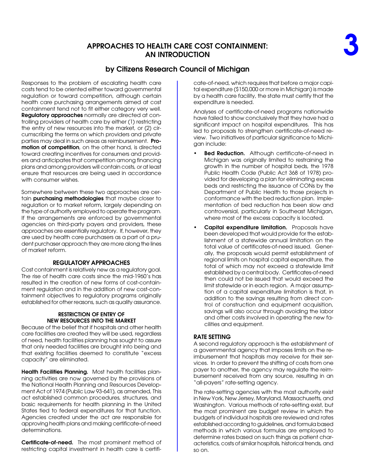# **APPROACHES TO HEALTH CARE COST CONTAINMENT: AN INTRODUCTION**

Responses to the problem of escalating health care costs tend to be oriented either toward governmental regulation or toward competition, although certain health care purchasing arrangements aimed at cost containment tend not to fit either category very well. **Regulatory approaches** normally are directed at controlling providers of health care by either (1) restricting the entry of new resources into the market, or (2) circumscribing the terms on which providers and private parties may deal in such areas as reimbursement. **Promotion of competition**, on the other hand, is directed toward creating incentives for consumers and providers and anticipates that competition among financing plans and among providers will contain costs, or at least ensure that resources are being used in accordance with consumer wishes.

Somewhere between these two approaches are certain **purchasing methodologies** that maybe closer to regulation or to market reform, largely depending on the type of authority employed to operate the program. If the arrangements are enforced by governmental agencies on third-party payers and providers, these approaches are essentially regulatory. If, however, they are used by health care purchasers as a part of a prudent purchaser approach they are more along the lines of market reform.

### **REGULATORY APPROACHES**

Cost containment is relatively new as a regulatory goal. The rise of health care costs since the mid-1960's has resulted in the creation of new forms of cost-containment regulation and in the addition of new cost-containment objectives to regulatory programs originally established for other reasons, such as quality assurance.

### **RESTRICTION OF ENTRY OF NEW RESOURCES INTO THE MARKET**

Because of the belief that if hospitals and other health care facilities are created they will be used, regardless of need, health facilities planning has sought to assure that only needed facilities are brought into being and that existing facilities deemed to constitute "excess capacity" are eliminated.

**Health Facilities Planning.** Most health facilities planning activities are now governed by the provisions of the National Health Planning and Resources Development Act of 1974 (Public Law 93-641), as amended, This act established common procedures, structures, and basic requirements for health planning in the United States tied to federal expenditures for that function. Agencies created under the act are responsible for approving health plans and making certificate-of-need determinations.

**Certificate-of-need.** The most prominent method of restricting capital investment in health care is certificate-of-need, which requires that before a major capital expenditure (\$150,000 or more in Michigan) is made by a health care facility, the state must certify that the expenditure is needed.

Analyses of certificate-of-need programs nationwide have failed to show conclusively that they have had a significant impact on hospital expenditures. This has led to proposals to strengthen certificate-of-need review. Two initiatives of particular significance to Michigan include:

- **Bed Reduction.** Although certificate-of-need in Michigan was originally limited to restraining the growth in the number of hospital beds, the 1978 Public Health Code (Public Act 368 of 1978) provided for developing a plan for eliminating excess beds and restricting the issuance of CONs by the Department of Public Health to those projects in conformance with the bed reduction plan. Implementation of bed reduction has been slow and controversial, particularly in Southeast Michigan, where most of the excess capacity is located.
- **Capital expenditure limitation.** Proposals have been developed that would provide for the establishment of a statewide annual limitation on the total value of certificates-of-need issued. Generally, the proposals would permit establishment of regional limits on hospital capital expenditure, the total of which may not exceed a statewide limit established by a central body. Certificates-of-need then could not be issued that would exceed the limit statewide or in each region. A major assumption of a capital expenditure limitation is that, in addition to the savings resulting from direct control of construction and equipment acquisition, savings will also occur through avoiding the labor and other costs involved in operating the new facilities and equipment.

## **RATE SETTING**

A second regulatory approach is the establishment of a governmental agency that imposes limits on the reimbursement that hospitals may receive for their services. In order to prevent the shifting of costs from one payer to another, the agency may regulate the reimbursement received from any source, resulting in an "all-payers" rate-setting agency.

The rate-setting agencies with the most authority exist in New York, New Jersey, Maryland, Massachusetts, and Washington. Various methods of rate-setting exist, but the most prominent are budget review in which the budgets of individual hospitals are reviewed and rates established according to guidelines, and formula based methods in which various formulas are employed to determine rates based on such things as patient characteristics, costs of similar hospitals, historical trends, and so on.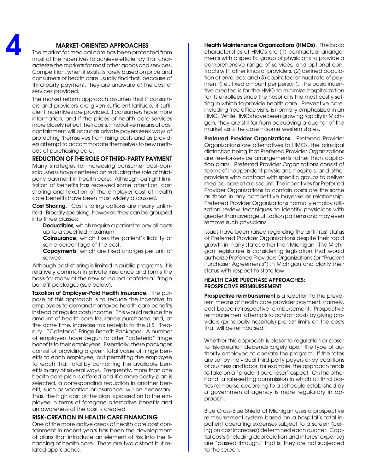## **MARKET-ORIENTED APPROACHES**

The market for medical care has been protected from most of the incentives to achieve efficiency that characterize the markets for most other goods and services. Competition, when it exists, is rarely based on price and consumers of health care usually find that, because of third-party payment, they are unaware of the cost of services provided.

The market reform approach assumes that if consumers and providers are given sufficient latitude, if sufficient incentives are provided, if consumers have more information, and if the prices of health care services more closely reflect their costs, innovative means of cost containment will occur as private payers seek ways of protecting themselves from rising costs and as providers attempt to accommodate themselves to new methods of purchasing care.

#### **REDUCTION OF THE ROLE OF THIRD-PARTY PAYMENT**

Many strategies for increasing consumer cost-consciousness have centered on reducing the role of thirdparty payment in health care. Although outright limitation of benefits has received some attention, cost sharing and taxation of the employer cost of health care benefits have been most widely discussed.

**Cost Sharing.** Cost sharing options are nearly unlimited. Broadly speaking, however, they can be grouped into three classes:

**Deductibles**, which require a patient to pay all costs up to a specified maximum.

**Coinsurance**, which fixes the patient's liability at some percentage of the cost.

**Copayments**, which are fixed charges per unit of service.

Although cost-sharing is limited in public programs, it is relatively common in private insurance and forms the basis for many of the new so-called "cafeteria" fringe benefit packages (see below).

**Taxation of Employer-Paid Health Insurance.** The purpose of this approach is to reduce the incentive to employees to demand nontaxed health care benefits instead of regular cash income. This would reduce the amount of health care Insurance purchased and, at the same time, increase tax receipts to the U.S. Treasury. "Cafeteria" Fringe Benefit Packages. A number of employers have begun to offer "cafeteria" fringe benefits to their employees. Essentially, these packages consist of providing a given total value of fringe benefits to each employee, but permitting the employee to reach that total by combining the available benefits in any of several ways. Frequently, more than one health care plan is offered and if a more costly plan is selected, a corresponding reduction in another benefit, such as vacation or insurance, will be necessary. Thus, the high cost of the plan is passed on to the employee in terms of foregone alternative benefits and an awareness of the cost is created.

### **RISK-CREATION IN HEALTH CARE FINANCING**

One of the more active areas of health care cost containment in recent years has been the development of plans that introduce an element of risk into the financing of health care. There are two distinct but related approaches.

**Health Maintenance Organizations (HMOs).** The basic characteristics of HMOs are (1) contractual arrangements with a specific group of physicians to provide a comprehensive range of services, and optional contracts with other kinds of providers; (2) defined population of enrollees; and (3) capitated annual rate of payment (i.e., fixed amount per person). The basic incentive created is for the HMO to minimize hospitalization for its enrollees since the hospital is the most costly setting in which to provide health care. Preventive care, including free office visits, is normally emphasized in an HMO. While HMOs have been growing rapidly in Michigan, they are still far from occupying a quarter of the market as is the case in some western states.

**Preferred Provider Organizations.** Preferred Provider Organizations are alternatives to HMOs, the principal distinction being that Preferred Provider Organizations are fee-for-service arrangements rather than capitation plans. Preferred Provider Organizations consist of teams of independent physicians, hospitals, and other providers who contract with specific groups to deliver medical care at a discount. The incentives for Preferred Provider Organizations to contain costs are the same as those in any competitive buyer-seller relationship. Preferred Provider Organizations normally employ utilization review techniques to identify physicians with greater than average utilization patterns and may even remove such physicians.

Issues have been raised regarding the anti-trust status of Preferred Provider Organizations despite their rapid growth in many states other than Michigan. The Michigan legislature is considering legislation that would authorize Preferred Providers Organizations (or "Prudent Purchaser Agreements") in Michigan and clarify their status with respect to state law.

#### **HEALTH CARE PURCHASE APPROACHES: PROSPECTIVE REIMBURSEMENT**

**Prospective reimbursement** is a reaction to the prevalent means of health care provider payment, namely, cost-based retrospective reimbursement. Prospective reimbursement attempts to contain costs by giving providers (principally hospitals) pre-set limits on the costs that will be reimbursed.

Whether this approach is closer to regulation or closer to risk-creation depends largely upon the type of authority employed to operate the program. If the rates are set by individual third-party payers or by coalitions of business and labor, for example, the approach tends to take on a "prudent purchaser" aspect. On the other hand, a rate-setting commission in which all third parties reimburse according to a schedule established by a governmental agency is more regulatory in approach.

Blue Cross-Blue Shield of Michigan uses a prospective reimbursement system based on a hospital's total inpatient operating expenses subject to a screen (ceiling on cost increases) determined each quarter. Capital costs (including depreciation and interest expense) are "passed through," that is, they are not subjected to the screen.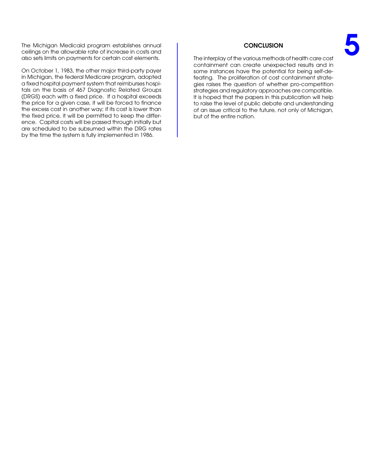The Michigan Medicaid program establishes annual ceilings on the allowable rate of increase in costs and also sets limits on payments for certain cost elements.

On October 1, 1983, the other major third-party payer in Michigan, the federal Medicare program, adopted a fixed hospital payment system that reimburses hospitals on the basis of 467 Diagnostic Related Groups (DRGS) each with a fixed price. If a hospital exceeds the price for a given case, it will be forced to finance the excess cost in another way; if its cost is lower than the fixed price, it will be permitted to keep the difference. Capital costs will be passed through initially but are scheduled to be subsumed within the DRG rates by the time the system is fully implemented in 1986.

#### **CONCLUSION**

The interplay of the various methods of health care cost containment can create unexpected results and in some instances have the potential for being self-defeating. The proliferation of cost containment strategies raises the question of whether pro-competition strategies and regulatory approaches are compatible. It is hoped that the papers in this publication will help to raise the level of public debate and understanding of an issue critical to the future, not only of Michigan, but of the entire nation.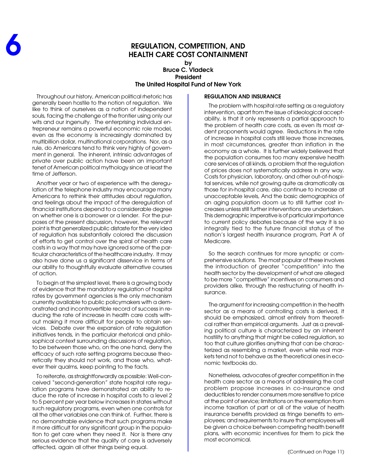# **REGULATION, COMPETITION, AND HEALTH CARE COST CONTAINMENT**

**by Bruce C. Vladeck President The United Hospital Fund of New York**

Throughout our history, American political rhetoric has generally been hostile to the notion of regulation. We like to think of ourselves as a nation of independent souls, facing the challenge of the frontier using only our wits and our ingenuity. The enterprising individual entrepreneur remains a powerful economic role model, even as the economy is increasingly dominated by multibillion dollar, multinational corporations. Nor, as a rule, do Americans tend to think very highly of government in general. The inherent, intrinsic advantages of private over public action have been an important tenet of American political mythology since at least the time of Jefferson.

Another year or two of experience with the deregulation of the telephone industry may encourage many Americans to rethink their attitudes about regulation, and feelings about the impact of the deregulation of financial institutions depend to a considerable degree on whether one is a borrower or a lender. For the purposes of the present discussion, however, the relevant point is that generalized public distaste for the very idea of regulation has substantially colored the discussion of efforts to get control over the spiral of health care costs in a way that may have ignored some of the particular characteristics of the healthcare industry. It may also have done us a significant disservice in terms of our ability to thoughtfully evaluate alternative courses of action.

To begin at the simplest level, there is a growing body of evidence that the mandatory regulation of hospital rates by government agencies is the only mechanism currently available to public policymakers with a demonstrated and incontrovertible record of success in reducing the rate of increase in health care costs without making it more difficult for people to obtain services. Debate over the expansion of rate regulation initiatives tends, in the particular rhetorical and philosophical context surrounding discussions of regulation, to be between those who, on the one hand, deny the efficacy of such rate setting programs because theoretically they should not work, and those who, whatever their qualms, keep pointing to the facts.

To reiterate, as straightforwardly as possible: Well-conceived "second-generation" state hospital rate regulation programs have demonstrated an ability to reduce the rate of increase in hospital costs to a level 2 to 5 percent per year below increases in states without such regulatory programs, even when one controls for all the other variables one can think of. Further, there is no demonstrable evidence that such programs make it more difficult for any significant group in the population to get care when they need it. Nor is there any serious evidence that the quality of care is adversely affected, again all other things being equal.

#### **REGULATION AND INSURANCE**

The problem with hospital rate setting as a regulatory intervention, apart from the issue of ideological acceptability, is that it only represents a partial approach to the problem of health care costs, as even its most ardent proponents would agree. Reductions in the rate of increase in hospital costs still leave those increases, in most circumstances, greater than inflation in the economy as a whole. It is further widely believed that the population consumes too many expensive health care services of all kinds, a problem that the regulation of prices does not systematically address in any way. Costs for physician, laboratory, and other out-of-hospital services, while not growing quite as dramatically as those for in-hospital care, also continue to increase at unacceptable levels, And the basic demographics of an aging population doom us to still further cost increases unless still further interventions are undertaken. This demographic imperative is of particular importance to current policy debates because of the way it is so integrally tied to the future financial status of the nation's largest health insurance program, Part A of Medicare.

So the search continues for more synoptic or comprehensive solutions. The most popular of these involves the introduction of greater "competition" into the health sector by the development of what are alleged to be more "competitive" incentives on consumers and providers alike, through the restructuring of health insurance.

The argument for increasing competition in the health sector as a means of controlling costs is derived, it should be emphasized, almost entirely from theoretical rather than empirical arguments. Just as a prevailing political culture is characterized by an inherent hostility to anything that might be called regulation, so too that culture glorifies anything that can be characterized as resembling a market, even while real markets tend not to behave as the theoretical ones in economic textbooks do.

Nonetheless, advocates of greater competition in the health care sector as a means of addressing the cost problem propose increases in co-insurance and deductibles to render consumers more sensitive to price at the point of service; limitations on the exemption from income taxation of part or all of the value of health insurance benefits provided as fringe benefits to employees; and requirements to insure that employees will be given a choice between competing health benefit plans, with economic incentives for them to pick the most economical.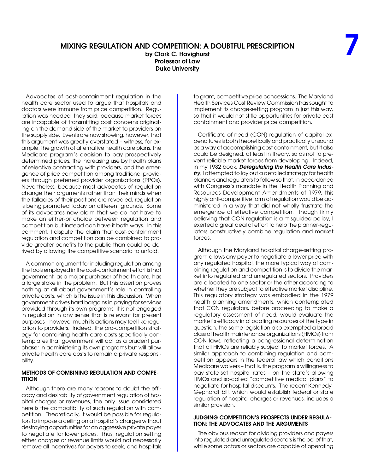## **MIXING REGULATION AND COMPETITION: A DOUBTFUL PRESCRIPTION**

**by Clark C. Havighurst Professor of Law Duke University**

Advocates of cost-containment regulation in the health care sector used to argue that hospitals and doctors were immune from price competition. Regulation was needed, they said, because market forces are incapable of transmitting cost concerns originating on the demand side of the market to providers on the supply side. Events are now showing, however, that this argument was greatly overstated – witness, for example, the growth of alternative health care plans, the Medicare program's decision to pay prospectively determined prices, the increasing use by health plans of selective contracting with providers, and the emergence of price competition among traditional providers through preferred provider organizations (PPOs). Nevertheless, because most advocates of regulation change their arguments rather than their minds when the fallacies of their positions are revealed, regulation is being promoted today on different grounds. Some of its advocates now claim that we do not have to make an either-or choice between regulation and competition but instead can have it both ways. In this comment, I dispute the claim that cost-containment regulation and competition can be combined to provide greater benefits to the public than could be derived by allowing the competitive scenario to unfold.

A common argument for including regulation among the tools employed in the cost-containment effort is that government, as a major purchaser of health care, has a large stake in the problem. But this assertion proves nothing at all about government's role in controlling private costs, which is the issue in this discussion. When government drives hard bargains in paying for services provided through its own programs, it is not engaged in regulation in any sense that is relevant for present purposes – however much its actions may feel like regulation to providers. Indeed, the pro-competition strategy for containing health care costs specifically contemplates that government will act as a prudent purchaser in administering its own programs but will allow private health care costs to remain a private responsibility.

#### **METHODS OF COMBINING REGULATION AND COMPE-TITION**

Although there are many reasons to doubt the efficacy and desirability of government regulation of hospital charges or revenues, the only issue considered here is the compatibility of such regulation with competition. Theoretically, it would be possible for regulators to impose a ceiling on a hospital's charges without destroying opportunities for an aggressive private payer to negotiate for lower prices. Thus, regulation setting either charges or revenue limits would not necessarily remove all incentives for payers to seek, and hospitals

to grant, competitive price concessions. The Maryland Health Services Cost Review Commission has sought to implement its charge-setting program in just this way, so that it would not stifle opportunities for private cost containment and provider price competition.

Certificate-of-need (CON) regulation of capital expenditures is both theoretically and practically unsound as a way of accomplishing cost containment, but it also could be designed, at least in theory, so as not to prevent reliable market forces from developing. Indeed, in my 1982 book, **Deregulating the Health Care Industry**, I attempted to lay out a detailed strategy for health planners and regulators to follow so that, in accordance with Congress's mandate in the Health Planning and Resources Development Amendments of 1979, this highly anti-competitive form of regulation would be administered in a way that did not wholly frustrate the emergence of effective competition. Though firmly believing that CON regulation is a misguided policy, I exerted a great deal of effort to help the planner-regulators constructively combine regulation and market forces.

Although the Maryland hospital charge-setting program allows any payer to negotiate a lower price with any regulated hospital, the more typical way of combining regulation and competition is to divide the market into regulated and unregulated sectors. Providers are allocated to one sector or the other according to whether they are subject to effective market discipline. This regulatory strategy was embodied in the 1979 health planning amendments, which contemplated that CON regulators, before proceeding to make a regulatory assessment of need, would evaluate the market's efficacy in allocating resources of the type in question, the same legislation also exempted a broad class of health maintenance organizations (HMOs) from CON laws, reflecting a congressional determination that all HMOs are reliably subject to market forces. A similar approach to combining regulation and competition appears in the federal law which conditions Medicare waivers – that is, the program's willingness to pay state-set hospital rates – on the state's allowing HMOs and so-called "competitive medical plans" to negotiate for hospital discounts. The recent Kennedy-Gephardt bill, which would establish federal or state regulation of hospital charges or revenues, includes a similar provision.

#### **JUDGING COMPETITION'S PROSPECTS UNDER REGULA-TION: THE ADVOCATES AND THE ARGUMENTS**

The obvious reason for dividing providers and payers into regulated and unregulated sectors is the belief that, while some actors or sectors are capable of operating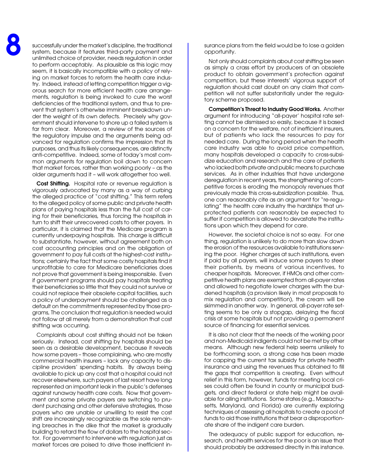successfully under the market's discipline, the traditional system, because it features third-party payment and unlimited choice of provider, needs regulation in order to perform acceptably. As plausible as this logic may seem, it is basically incompatible with a policy of relying on market forces to reform the health care industry. Indeed, instead of letting competition trigger a vigorous search for more efficient health care arrangements, regulation is being invoked to cure the worst deficiencies of the traditional system, and thus to prevent that system's otherwise imminent breakdown under the weight of its own defects. Precisely why government should intervene to shore up a failed system is far from clear. Moreover, a review of the sources of the regulatory impulse and the arguments being advanced for regulation confirms the impression that its purposes, and thus its likely consequences, are distinctly anti-competitive. Indeed, some of today's most common arguments for regulation boil down to concern that market forces, rather than working poorly – as the older arguments had it – will work altogether too well.

**Cost Shifting.** Hospital rate or revenue regulation is vigorously advocated by many as a way of curbing the alleged practice of "cost shifting." This term refers to the alleged policy of some public and private health plans of paying hospitals less than the full cost of caring for their beneficiaries, thus forcing the hospitals in turn to shift their unrecovered costs to other payers. In particular, it is claimed that the Medicare program is currently underpaying hospitals. This charge is difficult to substantiate, however, without agreement both on cost accounting principles and on the obligation of government to pay full costs at the highest-cost institutions; certainly the fact that some costly hospitals find it unprofitable to care for Medicare beneficiaries does not prove that government is being irresponsible. Even if government programs should pay hospitals treating their beneficiaries so little that they could not survive or could not replace their obsolete capital facilities, such a policy of underpayment should be challenged as a default on the commitments represented by those programs, The conclusion that regulation is needed would not follow at all merely from a demonstration that cost shifting was occurring.

Complaints about cost shifting should not be taken seriously. Instead, cost shifting by hospitals should be seen as a desirable development, because it reveals how some payers – those complaining, who are mostly commercial health insurers – lack any capacity to discipline providers' spending habits. By always being available to pick up any cost that a hospital could not recover elsewhere, such payers of last resort have long represented an important leak in the public's defenses against runaway health care costs. Now that government and some private payers are switching to prudent purchasing and other defensive strategies, those payers who are unable or unwilling to resist the cost shift are increasingly recognizable as the sole remaining breaches in the dike that the market is gradually building to retard the flow of dollars to the hospital sector. For government to intervene with regulation just as market forces are poised to drive those inefficient insurance plans from the field would be to lose a golden opportunity.

Not only should complaints about cost shifting be seen as simply a crass effort by producers of an obsolete product to obtain government's protection against competition, but these interests' vigorous support of regulation should cast doubt on any claim that competition will not suffer substantially under the regulatory scheme proposed.

**Competition's Threat to Industry Good Works.** Another argument for introducing "all-payer' hospital rate setting cannot be dismissed so easily, because it is based on a concern for the welfare, not of inefficient insurers, but of patients who lack the resources to pay for needed care. During the long period when the health care industry was able to avoid price competition, many hospitals developed a capacity to cross-subsidize education and research and the care of patients who lacked both private and public means to purchase services. As in other industries that have undergone deregulation in recent years, the strengthening of competitive forces is eroding the monopoly revenues that previously made this cross-subsidization possible. Thus, one can reasonably cite as an argument for "re-regulating" the health care industry the hardships that unprotected patients can reasonably be expected to suffer if competition is allowed to devastate the institutions upon which they depend for care.

However, the societal choice is not so easy. For one thing, regulation is unlikely to do more than slow down the erosion of the resources available to institutions serving the poor. Higher charges at such institutions, even if paid by all payers, will induce some payers to steer their patients, by means of various incentives, to cheaper hospitals. Moreover, if HMOs and other competitive health plans are exempted from all-payer rates and allowed to negotiate lower charges with the burdened hospitals (a provision likely in most proposals to mix regulation and competition), the cream will be skimmed in another way. In general, all-payer rate setting seems to be only a stopgap, delaying the fiscal crisis at some hospitals but not providing a permanent source of financing for essential services.

It is also not clear that the needs of the working poor and non-Medicaid indigents could not be met by other means. Although new federal help seems unlikely to be forthcoming soon, a strong case has been made for capping the current tax subsidy for private health insurance and using the revenues thus obtained to fill the gaps that competition is creating. Even without relief in this form, however, funds for meeting local crises could often be found in county or municipal budgets, and direct federal or state help might be available for ailing institutions. Some states (e.g., Massachusetts, Maryland, and Florida) are currently exploring techniques of assessing all hospitals to create a pool of funds to aid those institutions that bear a disproportionate share of the indigent care burden.

The adequacy of public support for education, research, and health services for the poor is an issue that should probably be addressed directly in this instance.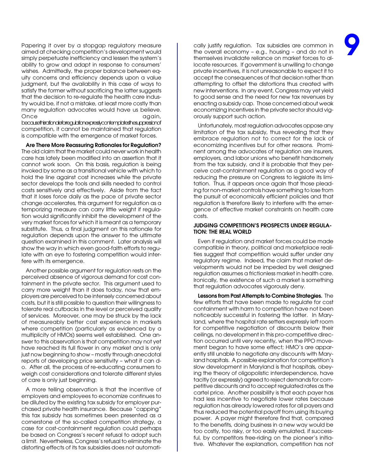Papering it over by a stopgap regulatory measure aimed at checking competition's development would simply perpetuate inefficiency and lessen the system's ability to grow and adapt in response to consumers' wishes. Admittedly, the proper balance between equity concerns and efficiency depends upon a value judgment, but the availability in this case of ways to satisfy the former without sacrificing the latter suggests that the decision to re-regulate the health care industry would be, if not a mistake, at least more costly than many regulation advocates would have us believe. Once and again, and again, and again,

becausethisrationaleforregulationexpresslycontemplatesthesuppressionof competition, it cannot be maintained that regulation is compatible with the emergence of market forces.

**Are There More Reassuring Rationales for Regulation?** The old claim that the market could never work in health care has lately been modified into an assertion that it cannot work soon. On this basis, regulation is being invoked by some as a transitional vehicle with which to hold the line against cost increases while the private sector develops the tools and skills needed to control costs sensitively and effectively. Aside from the fact that it loses force daily as the pace of private sector change accelerates, this argument for regulation as a temporizing measure can carry little weight if regulation would significantly inhibit the development of the very market forces for which it is meant as a temporary substitute. Thus, a final judgment on this rationale for regulation depends upon the answer to the ultimate question examined in this comment. Later analysis will show the way in which even good-faith efforts to regulate with an eye to fostering competition would interfere with its emergence.

Another possible argument for regulation rests on the perceived absence of vigorous demand for cost containment in the private sector. This argument used to carry more weight than it does today, now that employers are perceived to be intensely concerned about costs, but it is still possible to question their willingness to tolerate real cutbacks in the level or perceived quality of services. Moreover, one may be struck by the lack of measureably better cost experience in markets where competition (particularly as evidenced by a multiplicity of HMOs) seems well established. One answer to this observation is that competition may not yet have reached its full flower in any market and is only just now beginning to show – mostly through anecdotal reports of developing price sensitivity – what it can do. After all, the process of re-educating consumers to weigh cost considerations and tolerate different styles of care is only just beginning.

A more telling observation is that the incentive of employers and employees to economize continues to be diluted by the existing tax subsidy for employer purchased private health insurance. Because "capping" this tax subsidy has sometimes been presented as a cornerstone of the so-called competition strategy, a case for cost-containment regulation could perhaps be based on Congress's recent refusal to adopt such a limit. Nevertheless, Congress's refusal to eliminate the distorting effects of its tax subsidies does not automati-

cally justify regulation. Tax subsidies are common in the overall economy – e.g., housing – and do not in themselves invalidate reliance on market forces to allocate resources. If government is unwilling to change private incentives, it is not unreasonable to expect it to accept the consequences of that decision rather than attempting to offset the distortions thus created with new interventions. In any event, Congress may yet yield to good sense and the need for new tax revenues by enacting a subsidy cap. Those concerned about weak economizing incentives in the private sector should vigorously support such action.

Unfortunately, most regulation advocates oppose any limitation of the tax subsidy, thus revealing that they embrace regulation not to correct for the lack of economizing incentives but for other reasons. Prominent among the advocates of regulation are insurers, employers, and labor unions who benefit handsomely from the tax subsidy, and it is probable that they perceive cost-containment regulation as a good way of reducing the pressure on Congress to legislate its limitation. Thus, it appears once again that those pleading for non-market controls have something to lose from the pursuit of economically efficient policies and that regulation is therefore likely to interfere with the emergence of effective market constraints on health care costs.

#### **JUDGING COMPETITION'S PROSPECTS UNDER REGULA-TION: THE REAL WORLD**

Even if regulation and market forces could be made compatible in theory, political and marketplace realities suggest that competition would suffer under any regulatory regime. Indeed, the claim that market developments would not be impeded by well designed regulation assumes a frictionless market in health care. Ironically, the existence of such a market is something that regulation advocates vigorously deny.

**Lessons from Past Attempts to Combine Strategies.** The few efforts that have been made to regulate for cost containment with harm to competition have not been noticeably successful in fostering the latter. In Maryland, where the hospital rate setters expressly left room for competitive negotiation of discounts below their ceilings, no development in this pro-competitive direction occurred until very recently, when the PPO movement began to have some effect; HMO's are apparently still unable to negotiate any discounts with Maryland hospitals. A possible explanation for competition's slow development in Maryland is that hospitals, obeying the theory of oligopolistic interdependence, have tacitly (or expressly) agreed to reject demands for competitive discounts and to accept regulated rates as the cartel price. Another possibility is that each payer has had less incentive to negotiate lower rates because regulation has already lowered rates for all payers and thus reduced the potential payoff from using its buying power. A payer might therefore find that, compared to the benefits, doing business in a new way would be too costly, too risky, or too easily emulated, if successful, by competitors free-riding on the pioneer's initiative. Whatever the explanation, competition has not

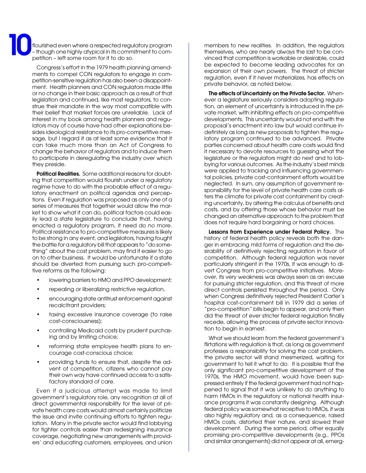flourished even where a respected regulatory program – though one highly atypical in its commitment to competition – left some room for it to do so. **10**

> Congress's effort in the 1979 health planning amendments to compel CON regulators to engage in competition-sensitive regulation has also been a disappointment. Health planners and CON regulators made little or no change in their basic approach as a result of that legislation and continued, like most regulators, to construe their mandate in the way most compatible with their belief that market forces are unreliable. Lack of interest in my book among health planners and regulators may of course have had other explanations besides ideological resistance to its pro-competitive message, but I regard it as at least some evidence that it can take much more than an Act of Congress to change the behavior of regulators and to induce them to participate in deregulating the industry over which they preside.

> **Political Realities.** Some additional reasons for doubting that competition would flourish under a regulatory regime have to do with the probable effect of a regulatory enactment on political agendas and perceptions. Even if regulation was proposed as only one of a series of measures that together would allow the market to show what it can do, political factors could easily lead a state legislature to conclude that, having enacted a regulatory program, it need do no more. Political resistance to pro-competitive measures is likely to be strong in any event, and legislators, having fought the battle for a regulatory bill that appears to "do something" about the cost problem, may find it easier to go on to other business. It would be unfortunate if a state should be diverted from pursuing such pro-competitive reforms as the following:

- lowering barriers to HMO and PPO development;
- repealing or liberalizing restrictive regulation,
- encouraging state antitrust enforcement against recalcitrant providers;
- taxing excessive insurance coverage (to raise cost-consciousness);
- controlling Medicaid costs by prudent purchasing and by limiting choice;
- reforming state employee health plans to encourage cost-conscious choice;
- providing funds to ensure that, despite the advent of competition, citizens who cannot pay their own way have continued access to a satisfactory standard of care.

Even if a judicious attempt was made to limit government's regulatory role, any recognition at all of direct governmental responsibility for the level of private health care costs would almost certainly politicize the issue and invite continuing efforts to tighten regulation. Many in the private sector would find lobbying for tighter controls easier than redesigning insurance coverage, negotiating new arrangements with providers' and educating customers, employees, and union members to new realities. In addition, the regulators themselves, who are nearly always the last to be convinced that competition is workable or desirable, could be expected to become leading advocates for an expansion of their own powers. The threat of stricter regulation, even if it never materializes, has effects on private behavior, as noted below.

**The effects of Uncertainty on the Private Sector.** Whenever a legislature seriously considers adopting regulation, an element of uncertainty is introduced in the private market, with inhibiting effects on pro-competitive developments. This uncertainty would not end with the proposal's enactment into law but would continue indefinitely as long as new proposals to tighten the regulatory program continued to be advanced. Private parties concerned about health care costs would find it necessary to devote resources to guessing what the legislature or the regulators might do next and to lobbying for various outcomes. As the industry's best minds were applied to tracking and influencing governmental policies, private cost-containment efforts would be neglected. In sum, any assumption of government responsibility for the level of private health care costs alters the climate for private cost containment by creating uncertainty, by altering the calculus of benefits and costs, and by offering those whose behavior must be changed an alternative approach to the problem that does not require hard bargaining or hard choices.

**Lessons from Experience under Federal Policy.** The history of federal health policy reveals both the danger in embracing mild forms of regulation and the desirability of definitively rejecting regulation in favor of competition. Although federal regulation was never particularly stringent in the 1970s, it was enough to divert Congress from pro-competitive initiatives. Moreover, its very weakness was always seen as an excuse for pursuing stricter regulation, and this threat of more direct controls persisted throughout the period. Only when Congress definitively rejected President Carter's hospital cost-containment bill in 1979 did a series of "pro-competition" bills begin to appear, and only then did the threat of ever stricter federal regulation finally recede, allowing the process of private sector innovation to begin in earnest.

What we should learn from the federal government's flirtations with regulation is that, as long as government professes a responsibility for solving the cost problem, the private sector will stand mesmerized, waiting for government to tell it what to do. It is possible that the only significant pro-competitive development of the 1970s, the HMO movement, would have been suppressed entirely if the federal government had not happened to signal that it was unlikely to do anything to harm HMOs in the regulatory or national health insurance programs it was constantly designing. Although federal policy was somewhat receptive to HMOs, it was also highly regulatory and, as a consequence, raised HMOs costs, distorted their nature, and slowed their development. During the same period, other equally promising pro-competitive developments (e.g., PPOs and similar arrangements) did not appear at all, emerg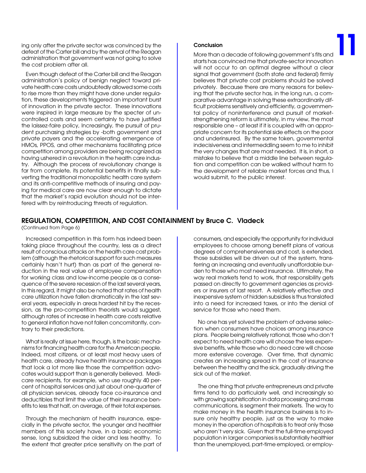ing only after the private sector was convinced by the defeat of the Carter bill and by the arrival of the Reagan administration that government was not going to solve the cost problem after all.

Even though defeat of the Carter bill and the Reagan administration's policy of benign neglect toward private health care costs undoubtedly allowed some costs to rise more than they might have done under regulation, these developments triggered an important burst of innovation in the private sector. These innovations were inspired in large measure by the specter of uncontrolled costs and seem certainly to have justified the laissez-faire policy, Increasingly, the pursuit of prudent purchasing strategies by -both government and private payers and the accelerating emergence of HMOs, PPOS, and other mechanisms facilitating price competition among providers are being recognized as having ushered in a revolution in the health care industry. Although the process of revolutionary change is far from complete, its potential benefits in finally subverting the traditional monopolistic health care system and its anti-competitive methods of insuring and paying for medical care are now clear enough to dictate that the market's rapid evolution should not be interfered with by reintroducing threats of regulation.

#### **Conclusion**

More than a decade of following government's fits and starts has convinced me that private-sector innovation will not occur to an optimal degree without a clear signal that government (both state and federal) firmly believes that private cost problems should be solved privately. Because there are many reasons for believing that the private sector has, in the long run, a comparative advantage in solving these extraordinarily difficult problems sensitively and efficiently, a governmental policy of noninterference and pursuit of marketstrengthening reform is ultimately, in my view, the most responsible one – at least if it is coupled with an appropriate concern for its potential side effects on the poor and underinsured. By the same token, governmental indecisiveness and intermeddling seem to me to inhibit the very changes that are most needed. It is, in short, a mistake to believe that a middle line between regulation and competition can be walked without harm to the development of reliable market forces and thus, I would submit, to the public interest. **11**

## **REGULATION, COMPETITION, AND COST CONTAINMENT by Bruce C. Vladeck**

(Continued from Page 6)

Increased competition in this form has indeed been taking place throughout the country, less as a direct result of conscious attacks on the health care cost problem (although the rhetorical support for such measures certainly hasn't hurt) than as part of the general reduction in the real value of employee compensation for working class and low-income people as a consequence of the severe recession of the last several years, In this regard, it might also be noted that rates of health care utilization have fallen dramatically in the last several years, especially in areas hardest hit by the recession, as the pro-competition theorists would suggest, although rates of increase in health care costs relative to general inflation have not fallen concomitantly, contrary to their predictions.

What is really at issue here, though, is the basic mechanisms for financing health care for the American people. Indeed, most citizens, or at least most heavy users of health care, already have health insurance packages that look a lot more like those the competition advocates would support than is generally believed. Medicare recipients, for example, who use roughly 40 percent of hospital services and just about one-quarter of all physician services, already face co-insurance and deductibles that limit the value of their insurance benefits to less that half, on average, of their total expenses.

Through the mechanism of health insurance, especially in the private sector, the younger and healthier members of this society have, in a basic economic sense, long subsidized the older and less healthy. To the extent that greater price sensitivity on the part of

consumers, and especially the opportunity for individual employees to choose among benefit plans of various degrees of comprehensiveness and cost, is extended, those subsidies will be driven out of the system, transferring an increasing and eventually unaffordable burden to those who most need insurance. Ultimately, the way real markets tend to work, that responsibility gets passed on directly to government agencies as providers or insurers of last resort. A relatively effective and inexpensive system of hidden subsidies is thus translated into a need for increased taxes, or into the denial of service for those who need them.

No one has yet solved the problem of adverse selection when consumers have choices among insurance plans. People being relatively rational, those who don't expect to need health care will choose the less expensive benefits, while those who do need care will choose more extensive coverage. Over time, that dynamic creates an increasing spread in the cost of insurance between the healthy and the sick, gradually driving the sick out of the market.

The one thing that private entrepreneurs and private firms tend to do particularly well, and increasingly so with growing sophistication in data processing and mass communications, is segment their markets. The way to make money in the health insurance business is to insure only healthy people, just as the way to make money in the operation of hospitals is to treat only those who aren't very sick. Given that the full-time employed population in larger companies is substantially healthier than the unemployed, part-time employed, or employ-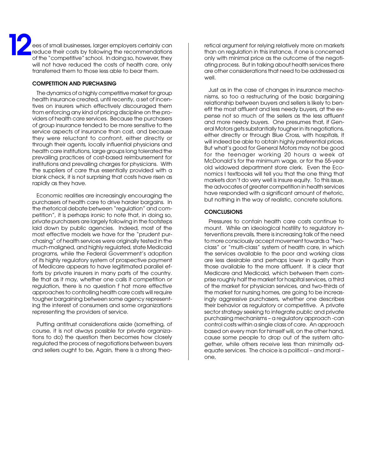ees of small businesses, larger employers certainly can reduce their costs by following the recommendations of the "competitive" school. In doing so, however, they will not have reduced the costs of health care, only transferred them to those less able to bear them. **12**

#### **COMPETITION AND PURCHASING**

The dynamics of a highly competitive market for group health insurance created, until recently, a set of incentives on insurers which effectively discouraged them from enforcing any kind of pricing discipline on the providers of health care services. Because the purchasers of group insurance tended to be more sensitive to the service aspects of insurance than cost, and because they were reluctant to confront, either directly or through their agents, locally influential physicians and health care institutions, large groups long tolerated the prevailing practices of cost-based reimbursement for institutions and prevailing charges for physicians. With the suppliers of care thus essentially provided with a blank check, it is not surprising that costs have risen as rapidly as they have.

Economic realities are increasingly encouraging the purchasers of health care to drive harder bargains. In the rhetorical debate between "regulation" and competition", it is perhaps ironic to note that, in doing so, private purchasers are largely following in the footsteps laid down by public agencies. Indeed, most of the most effective models we have for the "prudent purchasing" of health services were originally tested in the much-maligned, and highly regulated, state Medicaid programs, while the Federal Government's adoption of its highly regulatory system of prospective payment of Medicare appears to have legitimated parallel efforts by private insurers in many parts of the country. Be that as it may, whether one calls it competition or regulation, there is no question f hat more effective approaches to controlling health care costs will require tougher bargaining between some agency representing the interest of consumers and some organizations representing the providers of service.

Putting antitrust considerations aside (something, of course, it is not always possible for private organizations to do) the question then becomes how closely regulated the process of negotiations between buyers and sellers ought to be, Again, there is a strong theo-

retical argument for relying relatively more on markets than on regulation in this instance, if one is concerned only with minimal price as the outcome of the negotiating process. But in talking about health services there are other considerations that need to be addressed as well.

Just as in the case of changes in insurance mechanisms, so too a restructuring of the basic bargaining relationship between buyers and sellers is likely to benefit the most affluent and less needy buyers, at the expense not so much of the sellers as the less affluent and more needy buyers. One presumes that, if General Motors gets substantially tougher in its negotiations, either directly or through Blue Cross, with hospitals, it will indeed be able to obtain highly preferential prices. But what's good for General Motors may not be good for the teenager working 20 hours a week at McDonald's for the minimum wage, or for the 55-year old widowed department store clerk. Even the Economics I textbooks will tell you that the one thing that markets don't do very well is insure equity. To this issue, the advocates of greater competition in health services have responded with a significant amount of rhetoric, but nothing in the way of realistic, concrete solutions.

#### **CONCLUSIONS**

Pressures to contain health care costs continue to mount. While an ideological hostility to regulatory interventions prevails, there is increasing talk of the need to more consciously accept movement towards a "twoclass" or "multi-class" system of health care, in which the services available to the poor and working class are less desirable and perhaps lower in quality than those available to the more affluent. It is clear that Medicare and Medicaid, which between them comprise roughly half the market for hospital services, a third of the market for physician services, and two-thirds of the market for nursing homes, are going to be increasingly aggressive purchasers, whether one describes their behavior as regulatory or competitive. A private sector strategy seeking to integrate public and private purchasing mechanisms – a regulatory approach -can control costs within a single class of care. An approach based on every man for himself will, on the other hand, cause some people to drop out of the system altogether, while others receive less than minimally adequate services. The choice is a political – and moral – one,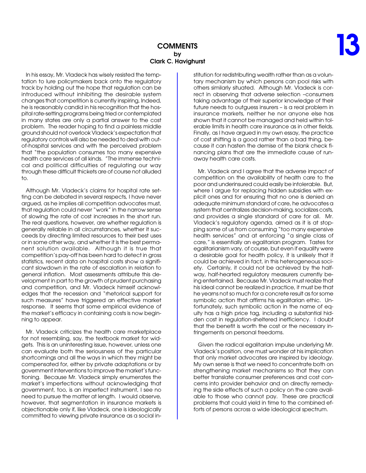## **COMMENTS by Clark C. Havighurst**

In his essay, Mr. Vladeck has wisely resisted the temptation to lure policymakers back onto the regulatory track by holding out the hope that regulation can be introduced without inhibiting the desirable system changes that competition is currently inspiring, Indeed, he is reasonably candid in his recognition that the hospital rate-setting programs being tried or contemplated in many states are only a partial answer to the cost problem. The reader hoping to find a painless middle ground should not overlook VIadeck's expectation that regulatory controls will also be needed to deal with outof-hospital services and with the perceived problem that "the population consumes too many expensive health care services of all kinds. "The immense technical and political difficulties of regulating our way through these difficult thickets are of course not alluded to.

Although Mr. Vladeck's claims for hospital rate setting can be debated in several respects, I have never argued, as he implies all competition advocates must, that regulation could never "work" in the narrow sense of slowing the rate of cost increases in the short run. The real questions, however, are whether regulation is generally reliable in all circumstances, whether it succeeds by directing limited resources to their best uses or in some other way, and whether it is the best permanent solution available. Although it is true that competition's pay-off has been hard to detect in gross statistics, recent data on hospital costs show a significant slowdown in the rate of escalation in relation to general inflation. Most assessments attribute this development in part to the growth of prudent purchasing and competition, and Mr. Vladeck himself acknowledges that the recession and "rhetorical support for such measures" have triggered an effective market response. It seems that some empirical evidence of the market's efficacy in containing costs is now beginning to appear.

Mr. Vladeck criticizes the health care marketplace for not resembling, say, the textbook market for widgets. This is an uninteresting issue, however, unless one can evaluate both the seriousness of the particular shortcomings and all the ways in which they might be compensated for, either by private adaptations or by government interventions to improve the market's functioning. Because Mr. Vladeck simply enumerates the market's imperfections without acknowledging that government, too, is an imperfect instrument, I see no need to pursue the matter at length. I would observe, however, that segmentation in insurance markets is objectionable only if, like Vladeck, one is ideologically committed to viewing private insurance as a social institution for redistributing wealth rather than as a voluntary mechanism by which persons can pool risks with others similarly situated. Although Mr. Vladeck is correct in observing that adverse selection –consumers taking advantage of their superior knowledge of their future needs to outguess insurers – is a real problem in insurance markets, neither he nor anyone else has shown that it cannot be managed and held within tolerable limits in health care insurance as in other fields. Finally, as I have argued in my own essay, the practice of cost shifting is a good rather than a bad thing, because it can hasten the demise of the blank check financing plans that are the immediate cause of runaway health care costs.

Mr. Vladeck and I agree that the adverse impact of competition on the availability of health care to the poor and underinsured could easily be intolerable. But, where I argue for replacing hidden subsidies with explicit ones and for ensuring that no one is denied an adequate minimum standard of care, he advocates a system that centralizes decision-making, socializes costs, and provides a single standard of care for all. Mr. Vladeck's regulatory agenda, aimed as it is at stopping some of us from consuming "too many expensive health services" and at enforcing "a single class of care," is essentially an egalitarian program. Tastes for egalitarianism vary, of course, but even if equality were a desirable goal for health policy, it is unlikely that it could be achieved in fact, in this heterogeneous society. Certainly, it could not be achieved by the halfway, half-hearted regulatory measurers currently being entertained. Because Mr. Vladeck must realize that his ideal cannot be realized in practice, it must be that he yearns not so much for a concrete result as for some symbolic action that affirms his egalitarian ethic. Unfortunately, such symbolic action in the name of equity has a high price tag, including a substantial hidden cost in regulation-sheltered inefficiency. I doubt that the benefit is worth the cost or the necessary infringements on personal freedoms.

Given the radical egalitarian impulse underlying Mr. Vladeck's position, one must wonder at his implication that only market advocates are inspired by ideology. My own sense is that we need to concentrate both on strengthening market mechanisms so that they can better translate consumer preferences and cost concerns into provider behavior and on directly remedying the side effects of such a policy on the care available to those who cannot pay. These are practical problems that could yield in time to the combined efforts of persons across a wide ideological spectrum.